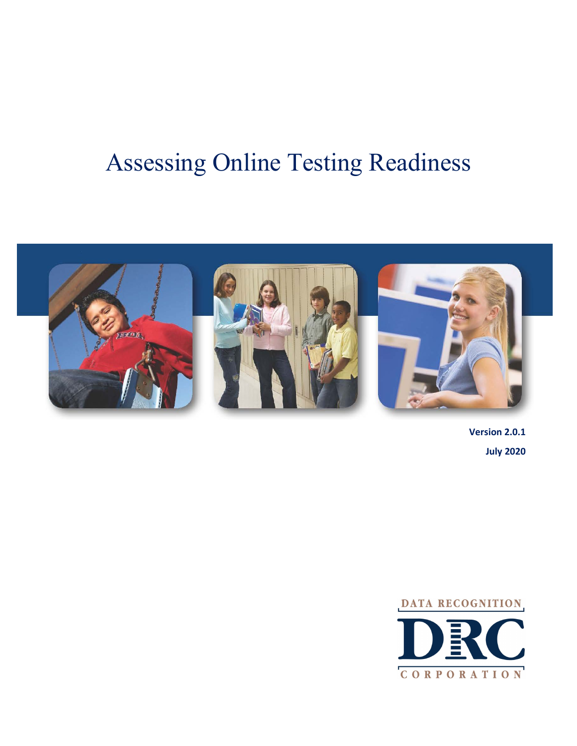# Assessing Online Testing Readiness



**Version 2.0.1 July 2020**

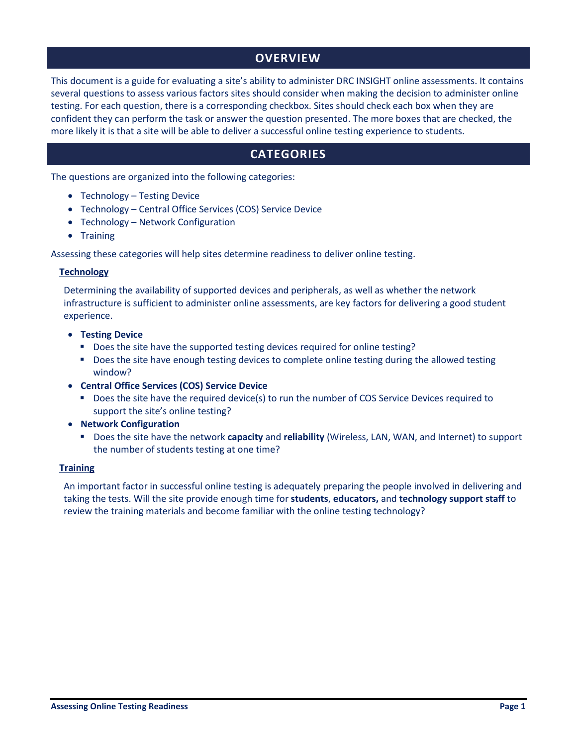# **OVERVIEW**

This document is a guide for evaluating a site's ability to administer DRC INSIGHT online assessments. It contains several questions to assess various factors sites should consider when making the decision to administer online testing. For each question, there is a corresponding checkbox. Sites should check each box when they are confident they can perform the task or answer the question presented. The more boxes that are checked, the more likely it is that a site will be able to deliver a successful online testing experience to students.

# **CATEGORIES**

The questions are organized into the following categories:

- Technology Testing Device
- Technology Central Office Services (COS) Service Device
- Technology Network Configuration
- Training

Assessing these categories will help sites determine readiness to deliver online testing.

## **Technology**

Determining the availability of supported devices and peripherals, as well as whether the network infrastructure is sufficient to administer online assessments, are key factors for delivering a good student experience.

- **Testing Device**
	- Does the site have the supported testing devices required for online testing?
	- Does the site have enough testing devices to complete online testing during the allowed testing window?
- **Central Office Services (COS) Service Device**
	- Does the site have the required device(s) to run the number of COS Service Devices required to support the site's online testing?
- **Network Configuration**
	- Does the site have the network **capacity** and **reliability** (Wireless, LAN, WAN, and Internet) to support the number of students testing at one time?

## **Training**

An important factor in successful online testing is adequately preparing the people involved in delivering and taking the tests. Will the site provide enough time for **students**, **educators,** and **technology support staff** to review the training materials and become familiar with the online testing technology?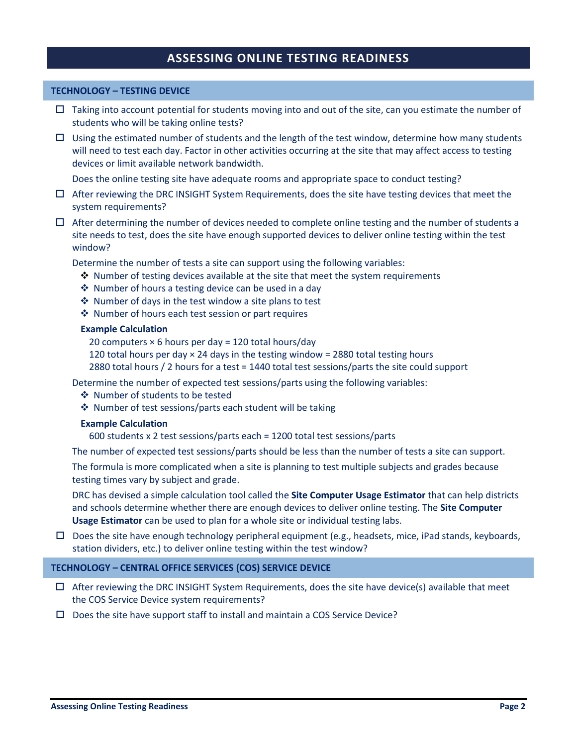# **ASSESSING ONLINE TESTING READINESS**

# **TECHNOLOGY – TESTING DEVICE**

- $\Box$  Taking into account potential for students moving into and out of the site, can you estimate the number of students who will be taking online tests?
- $\Box$  Using the estimated number of students and the length of the test window, determine how many students will need to test each day. Factor in other activities occurring at the site that may affect access to testing devices or limit available network bandwidth.

Does the online testing site have adequate rooms and appropriate space to conduct testing?

- $\Box$  After reviewing the DRC INSIGHT System Requirements, does the site have testing devices that meet the system requirements?
- $\Box$  After determining the number of devices needed to complete online testing and the number of students a site needs to test, does the site have enough supported devices to deliver online testing within the test window?

Determine the number of tests a site can support using the following variables:

- $\triangle$  Number of testing devices available at the site that meet the system requirements
- $\triangle$  Number of hours a testing device can be used in a day
- $\cdot$  Number of days in the test window a site plans to test
- Number of hours each test session or part requires

## **Example Calculation**

20 computers × 6 hours per day = 120 total hours/day

- 120 total hours per day  $\times$  24 days in the testing window = 2880 total testing hours
- 2880 total hours / 2 hours for a test = 1440 total test sessions/parts the site could support

Determine the number of expected test sessions/parts using the following variables:

- ❖ Number of students to be tested
- ❖ Number of test sessions/parts each student will be taking

#### **Example Calculation**

600 students x 2 test sessions/parts each = 1200 total test sessions/parts

The number of expected test sessions/parts should be less than the number of tests a site can support.

The formula is more complicated when a site is planning to test multiple subjects and grades because testing times vary by subject and grade.

DRC has devised a simple calculation tool called the **Site Computer Usage Estimator** that can help districts and schools determine whether there are enough devices to deliver online testing. The **Site Computer Usage Estimator** can be used to plan for a whole site or individual testing labs.

 $\Box$  Does the site have enough technology peripheral equipment (e.g., headsets, mice, iPad stands, keyboards, station dividers, etc.) to deliver online testing within the test window?

## **TECHNOLOGY – CENTRAL OFFICE SERVICES (COS) SERVICE DEVICE**

- $\Box$  After reviewing the DRC INSIGHT System Requirements, does the site have device(s) available that meet the COS Service Device system requirements?
- $\square$  Does the site have support staff to install and maintain a COS Service Device?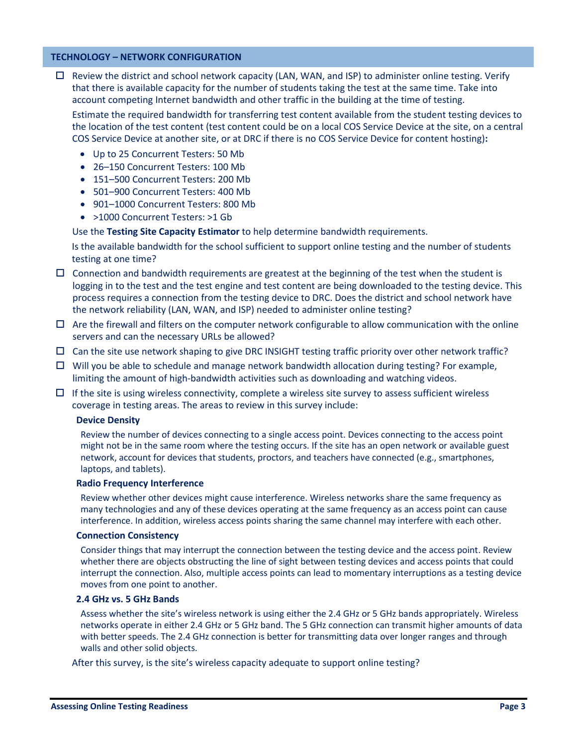# **TECHNOLOGY – NETWORK CONFIGURATION**

 $\Box$  Review the district and school network capacity (LAN, WAN, and ISP) to administer online testing. Verify that there is available capacity for the number of students taking the test at the same time. Take into account competing Internet bandwidth and other traffic in the building at the time of testing.

Estimate the required bandwidth for transferring test content available from the student testing devices to the location of the test content (test content could be on a local COS Service Device at the site, on a central COS Service Device at another site, or at DRC if there is no COS Service Device for content hosting)**:**

- Up to 25 Concurrent Testers: 50 Mb
- 26–150 Concurrent Testers: 100 Mb
- 151–500 Concurrent Testers: 200 Mb
- 501–900 Concurrent Testers: 400 Mb
- 901-1000 Concurrent Testers: 800 Mb
- >1000 Concurrent Testers: >1 Gb

Use the **Testing Site Capacity Estimator** to help determine bandwidth requirements.

Is the available bandwidth for the school sufficient to support online testing and the number of students testing at one time?

- $\Box$  Connection and bandwidth requirements are greatest at the beginning of the test when the student is logging in to the test and the test engine and test content are being downloaded to the testing device. This process requires a connection from the testing device to DRC. Does the district and school network have the network reliability (LAN, WAN, and ISP) needed to administer online testing?
- $\Box$  Are the firewall and filters on the computer network configurable to allow communication with the online servers and can the necessary URLs be allowed?
- $\Box$  Can the site use network shaping to give DRC INSIGHT testing traffic priority over other network traffic?
- $\Box$  Will you be able to schedule and manage network bandwidth allocation during testing? For example, limiting the amount of high-bandwidth activities such as downloading and watching videos.
- $\Box$  If the site is using wireless connectivity, complete a wireless site survey to assess sufficient wireless coverage in testing areas. The areas to review in this survey include:

# **Device Density**

Review the number of devices connecting to a single access point. Devices connecting to the access point might not be in the same room where the testing occurs. If the site has an open network or available guest network, account for devices that students, proctors, and teachers have connected (e.g., smartphones, laptops, and tablets).

#### **Radio Frequency Interference**

Review whether other devices might cause interference. Wireless networks share the same frequency as many technologies and any of these devices operating at the same frequency as an access point can cause interference. In addition, wireless access points sharing the same channel may interfere with each other.

#### **Connection Consistency**

Consider things that may interrupt the connection between the testing device and the access point. Review whether there are objects obstructing the line of sight between testing devices and access points that could interrupt the connection. Also, multiple access points can lead to momentary interruptions as a testing device moves from one point to another.

#### **2.4 GHz vs. 5 GHz Bands**

Assess whether the site's wireless network is using either the 2.4 GHz or 5 GHz bands appropriately. Wireless networks operate in either 2.4 GHz or 5 GHz band. The 5 GHz connection can transmit higher amounts of data with better speeds. The 2.4 GHz connection is better for transmitting data over longer ranges and through walls and other solid objects.

After this survey, is the site's wireless capacity adequate to support online testing?